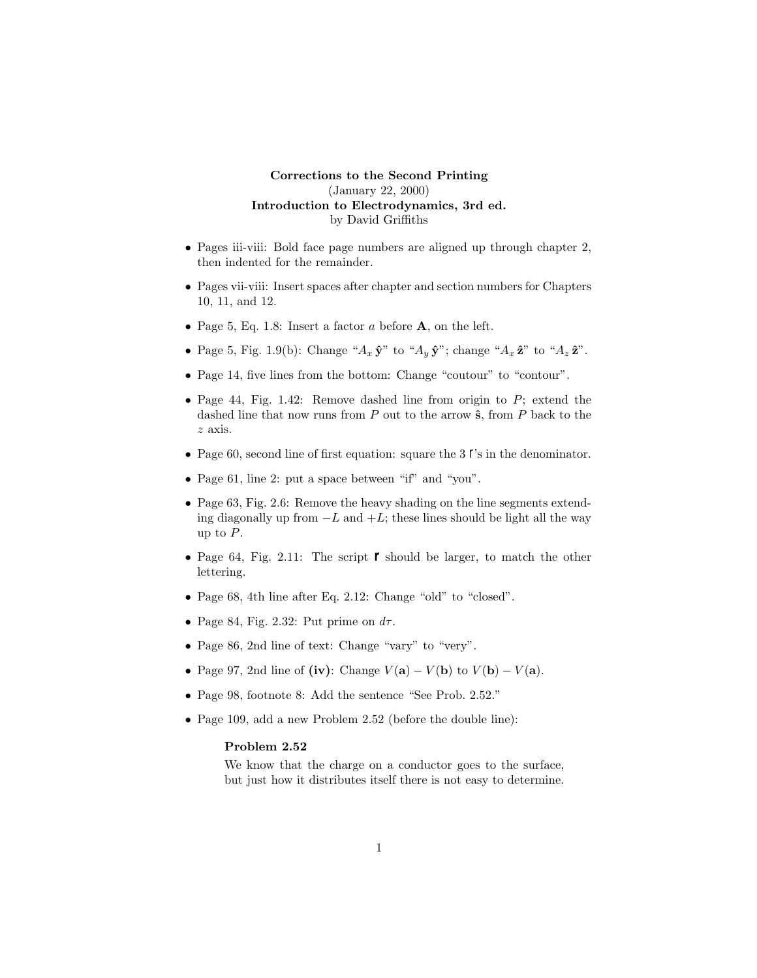## **Corrections to the Second Printing** (January 22, 2000) **Introduction to Electrodynamics, 3rd ed.** by David Griffiths

- Pages iii-viii: Bold face page numbers are aligned up through chapter 2, then indented for the remainder.
- Pages vii-viii: Insert spaces after chapter and section numbers for Chapters 10, 11, and 12.
- Page 5, Eq. 1.8: Insert a factor *a* before **A**, on the left.
- Page 5, Fig. 1.9(b): Change " $A_x \hat{\mathbf{y}}$ " to " $A_y \hat{\mathbf{y}}$ "; change " $A_x \hat{\mathbf{z}}$ " to " $A_z \hat{\mathbf{z}}$ ".
- Page 14, five lines from the bottom: Change "coutour" to "contour".
- Page 44, Fig. 1.42: Remove dashed line from origin to *P*; extend the dashed line that now runs from  $P$  out to the arrow  $\hat{\mathbf{s}}$ , from  $P$  back to the *z* axis.
- Page 60, second line of first equation: square the 3 *r*'s in the denominator.
- Page 61, line 2: put a space between "if" and "you".
- Page 63, Fig. 2.6: Remove the heavy shading on the line segments extending diagonally up from  $-L$  and  $+L$ ; these lines should be light all the way up to *P*.
- Page 64, Fig. 2.11: The script *r* should be larger, to match the other lettering.
- Page 68, 4th line after Eq. 2.12: Change "old" to "closed".
- Page 84, Fig. 2.32: Put prime on  $d\tau$ .
- Page 86, 2nd line of text: Change "vary" to "very".
- Page 97, 2nd line of  $(iv)$ : Change  $V(\mathbf{a}) V(\mathbf{b})$  to  $V(\mathbf{b}) V(\mathbf{a})$ .
- Page 98, footnote 8: Add the sentence "See Prob. 2.52."
- Page 109, add a new Problem 2.52 (before the double line):

## **Problem 2.52**

We know that the charge on a conductor goes to the surface, but just how it distributes itself there is not easy to determine.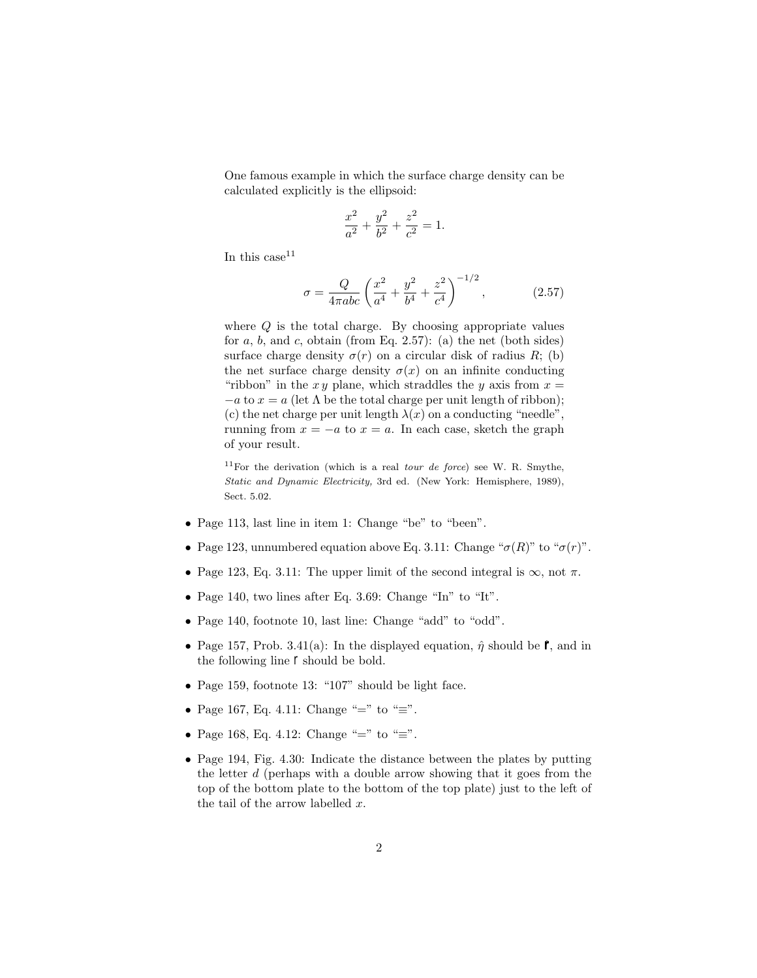One famous example in which the surface charge density can be calculated explicitly is the ellipsoid:

$$
\frac{x^2}{a^2} + \frac{y^2}{b^2} + \frac{z^2}{c^2} = 1.
$$

In this case  $11$ 

$$
\sigma = \frac{Q}{4\pi abc} \left(\frac{x^2}{a^4} + \frac{y^2}{b^4} + \frac{z^2}{c^4}\right)^{-1/2},\tag{2.57}
$$

where *Q* is the total charge. By choosing appropriate values for  $a, b$ , and  $c$ , obtain (from Eq. 2.57): (a) the net (both sides) surface charge density  $\sigma(r)$  on a circular disk of radius *R*; (b) the net surface charge density  $\sigma(x)$  on an infinite conducting "ribbon" in the  $xy$  plane, which straddles the  $y$  axis from  $x =$  $-a$  to  $x = a$  (let  $\Lambda$  be the total charge per unit length of ribbon); (c) the net charge per unit length  $\lambda(x)$  on a conducting "needle", running from  $x = -a$  to  $x = a$ . In each case, sketch the graph of your result.

<sup>11</sup>For the derivation (which is a real *tour de force*) see W. R. Smythe, *Static and Dynamic Electricity,* 3rd ed. (New York: Hemisphere, 1989), Sect. 5.02.

- Page 113, last line in item 1: Change "be" to "been".
- Page 123, unnumbered equation above Eq. 3.11: Change " $\sigma(R)$ " to " $\sigma(r)$ ".
- Page 123, Eq. 3.11: The upper limit of the second integral is  $\infty$ , not  $\pi$ .
- Page 140, two lines after Eq. 3.69: Change "In" to "It".
- Page 140, footnote 10, last line: Change "add" to "odd".
- Page 157, Prob. 3.41(a): In the displayed equation,  $\hat{\eta}$  should be  $\hat{\gamma}$ , and in the following line *r* should be bold.
- Page 159, footnote 13: "107" should be light face.
- Page 167, Eq. 4.11: Change "=" to "=".
- Page 168, Eq. 4.12: Change "=" to "=".
- Page 194, Fig. 4.30: Indicate the distance between the plates by putting the letter *d* (perhaps with a double arrow showing that it goes from the top of the bottom plate to the bottom of the top plate) just to the left of the tail of the arrow labelled *x*.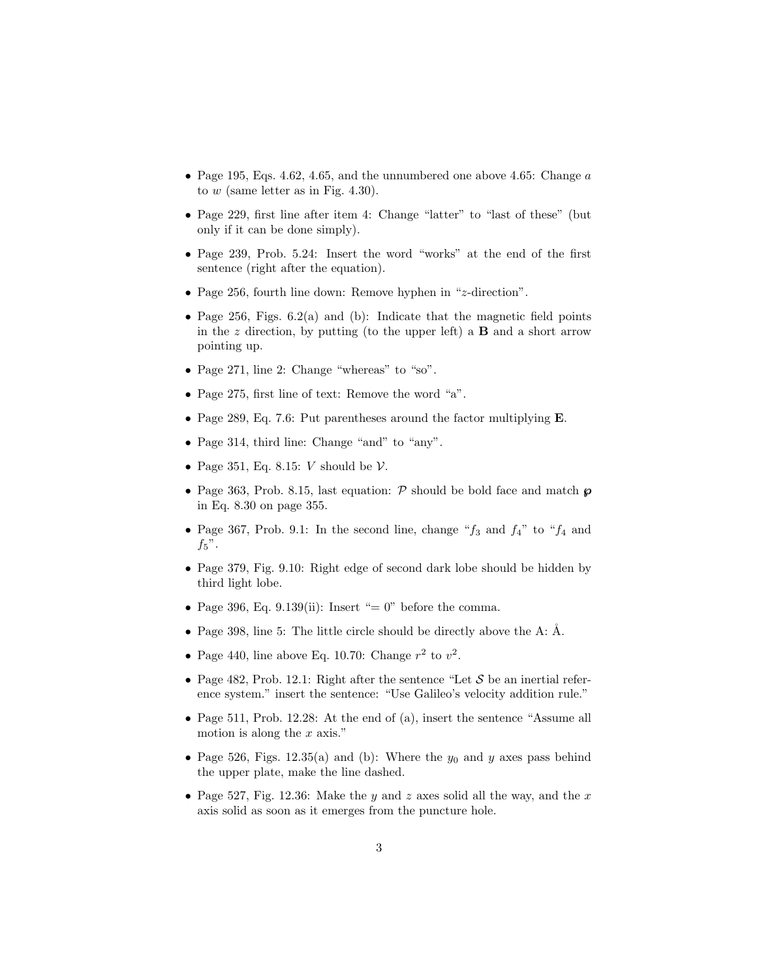- Page 195, Eqs. 4.62, 4.65, and the unnumbered one above 4.65: Change *a* to *w* (same letter as in Fig. 4.30).
- Page 229, first line after item 4: Change "latter" to "last of these" (but only if it can be done simply).
- Page 239, Prob. 5.24: Insert the word "works" at the end of the first sentence (right after the equation).
- Page 256, fourth line down: Remove hyphen in "*z*-direction".
- Page 256, Figs. 6.2(a) and (b): Indicate that the magnetic field points in the  $z$  direction, by putting (to the upper left) a **B** and a short arrow pointing up.
- Page 271, line 2: Change "whereas" to "so".
- Page 275, first line of text: Remove the word "a".
- Page 289, Eq. 7.6: Put parentheses around the factor multiplying **E**.
- Page 314, third line: Change "and" to "any".
- Page 351, Eq. 8.15: *V* should be V.
- Page 363, Prob. 8.15, last equation: P should be bold face and match *℘* in Eq. 8.30 on page 355.
- Page 367, Prob. 9.1: In the second line, change "*f*<sup>3</sup> and *f*4" to "*f*<sup>4</sup> and  $f_5$ ".
- Page 379, Fig. 9.10: Right edge of second dark lobe should be hidden by third light lobe.
- Page 396, Eq. 9.139(ii): Insert "= 0" before the comma.
- Page 398, line 5: The little circle should be directly above the A:  $\AA$ .
- Page 440, line above Eq. 10.70: Change  $r^2$  to  $v^2$ .
- Page 482, Prob. 12.1: Right after the sentence "Let  $S$  be an inertial reference system." insert the sentence: "Use Galileo's velocity addition rule."
- Page 511, Prob. 12.28: At the end of (a), insert the sentence "Assume all motion is along the *x* axis."
- Page 526, Figs. 12.35(a) and (b): Where the  $y_0$  and  $y$  axes pass behind the upper plate, make the line dashed.
- Page 527, Fig. 12.36: Make the *y* and *z* axes solid all the way, and the *x* axis solid as soon as it emerges from the puncture hole.